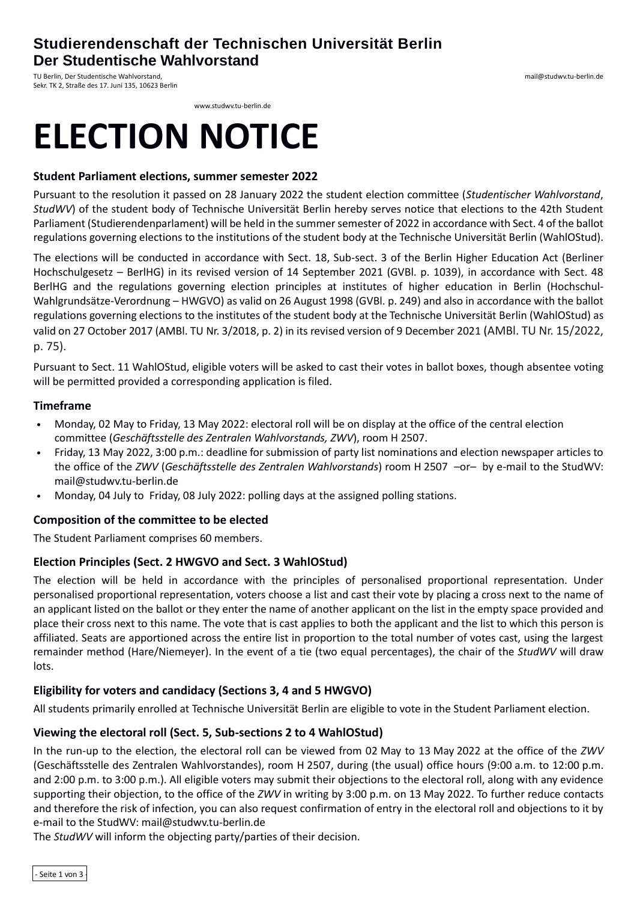# **Studierendenschaft der Technischen Universität Berlin Der Studentische Wahlvorstand**

TU Berlin, Der Studentische Wahlvorstand, Sekr. TK 2, Straße des 17. Juni 135, 10623 Berlin

www.studwv.tu-berlin.de

# **ELECTION NOTICE**

#### **Student Parliament elections, summer semester 2022**

Pursuant to the resolution it passed on 28 January 2022 the student election committee (*Studentischer Wahlvorstand*, *StudWV*) of the student body of Technische Universität Berlin hereby serves notice that elections to the 42th Student Parliament (Studierendenparlament) will be held in the summer semester of 2022 in accordance with Sect. 4 of the ballot regulations governing elections to the institutions of the student body at the Technische Universität Berlin (WahlOStud).

The elections will be conducted in accordance with Sect. 18, Sub-sect. 3 of the Berlin Higher Education Act (Berliner Hochschulgesetz – BerlHG) in its revised version of 14 September 2021 (GVBl. p. 1039), in accordance with Sect. 48 BerlHG and the regulations governing election principles at institutes of higher education in Berlin (Hochschul-Wahlgrundsätze-Verordnung – HWGVO) as valid on 26 August 1998 (GVBl. p. 249) and also in accordance with the ballot regulations governing elections to the institutes of the student body at the Technische Universität Berlin (WahlOStud) as valid on 27 October 2017 (AMBl. TU Nr. 3/2018, p. 2) in its revised version of 9 December 2021 (AMBl. TU Nr. 15/2022, p. 75).

Pursuant to Sect. 11 WahlOStud, eligible voters will be asked to cast their votes in ballot boxes, though absentee voting will be permitted provided a corresponding application is filed.

#### **Timeframe**

- Monday, 02 May to Friday, 13 May 2022: electoral roll will be on display at the office of the central election committee (*Geschäftsstelle des Zentralen Wahlvorstands, ZWV*), room H 2507.
- Friday, 13 May 2022, 3:00 p.m.: deadline for submission of party list nominations and election newspaper articles to the office of the *ZWV* (*Geschäftsstelle des Zentralen Wahlvorstands*) room H 2507 –or– by e-mail to the StudWV: mail@studwv.tu-berlin.de
- Monday, 04 July to Friday, 08 July 2022: polling days at the assigned polling stations.

#### **Composition of the committee to be elected**

The Student Parliament comprises 60 members.

#### **Election Principles (Sect. 2 HWGVO and Sect. 3 WahlOStud)**

The election will be held in accordance with the principles of personalised proportional representation. Under personalised proportional representation, voters choose a list and cast their vote by placing a cross next to the name of an applicant listed on the ballot or they enter the name of another applicant on the list in the empty space provided and place their cross next to this name. The vote that is cast applies to both the applicant and the list to which this person is affiliated. Seats are apportioned across the entire list in proportion to the total number of votes cast, using the largest remainder method (Hare/Niemeyer). In the event of a tie (two equal percentages), the chair of the *StudWV* will draw lots.

#### **Eligibility for voters and candidacy (Sections 3, 4 and 5 HWGVO)**

All students primarily enrolled at Technische Universität Berlin are eligible to vote in the Student Parliament election.

#### **Viewing the electoral roll (Sect. 5, Sub-sections 2 to 4 WahlOStud)**

In the run-up to the election, the electoral roll can be viewed from 02 May to 13 May 2022 at the office of the *ZWV* (Geschäftsstelle des Zentralen Wahlvorstandes), room H 2507, during (the usual) office hours (9:00 a.m. to 12:00 p.m. and 2:00 p.m. to 3:00 p.m.). All eligible voters may submit their objections to the electoral roll, along with any evidence supporting their objection, to the office of the *ZWV* in writing by 3:00 p.m. on 13 May 2022. To further reduce contacts and therefore the risk of infection, you can also request confirmation of entry in the electoral roll and objections to it by e-mail to the StudWV: mail@studwv.tu-berlin.de

The *StudWV* will inform the objecting party/parties of their decision.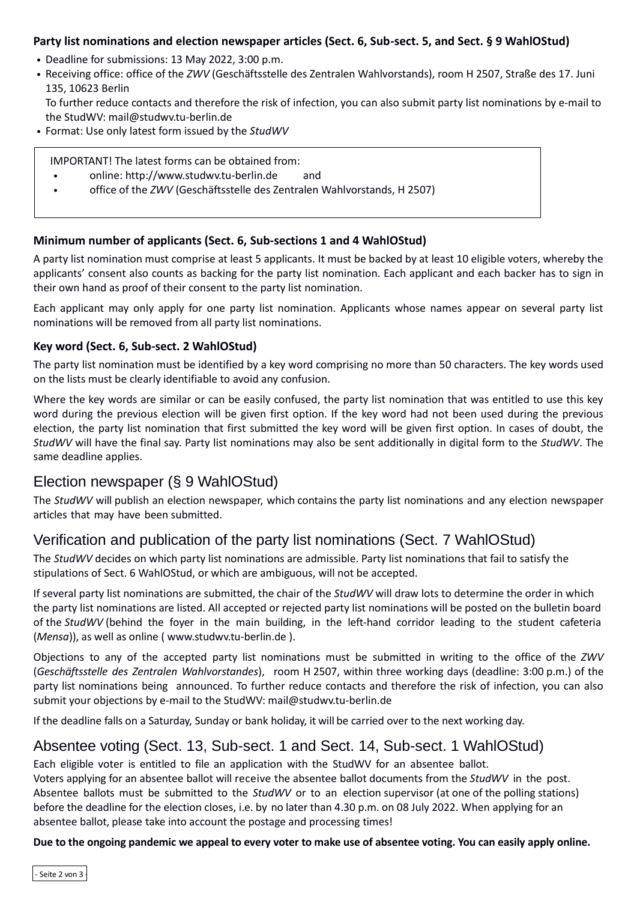## **Party list nominations and election newspaper articles (Sect. 6, Sub-sect. 5, and Sect. § 9 WahlOStud)**

- Deadline for submissions: 13 May 2022, 3:00 p.m.
- Receiving office: office of the *ZWV* (Geschäftsstelle des Zentralen Wahlvorstands), room H 2507, Straße des 17. Juni 135, 10623 Berlin

To further reduce contacts and therefore the risk of infection, you can also submit party list nominations by e-mail to the StudWV: mail@studwv.tu-berlin.de

• Format: Use only latest form issued by the *StudWV*

IMPORTANT! The latest forms can be obtained from:

- online: http://www.studwv.tu-berlin.de and
- office of the *ZWV* (Geschäftsstelle des Zentralen Wahlvorstands, H 2507)

#### **Minimum number of applicants (Sect. 6, Sub-sections 1 and 4 WahlOStud)**

A party list nomination must comprise at least 5 applicants. It must be backed by at least 10 eligible voters, whereby the applicants' consent also counts as backing for the party list nomination. Each applicant and each backer has to sign in their own hand as proof of their consent to the party list nomination.

Each applicant may only apply for one party list nomination. Applicants whose names appear on several party list nominations will be removed from all party list nominations.

## **Key word (Sect. 6, Sub-sect. 2 WahlOStud)**

The party list nomination must be identified by a key word comprising no more than 50 characters. The key words used on the lists must be clearly identifiable to avoid any confusion.

Where the key words are similar or can be easily confused, the party list nomination that was entitled to use this key word during the previous election will be given first option. If the key word had not been used during the previous election, the party list nomination that first submitted the key word will be given first option. In cases of doubt, the *StudWV* will have the final say. Party list nominations may also be sent additionally in digital form to the *StudWV*. The same deadline applies.

# Election newspaper (§ 9 WahlOStud)

The *StudWV* will publish an election newspaper, which contains the party list nominations and any election newspaper articles that may have been submitted.

# Verification and publication of the party list nominations (Sect. 7 WahlOStud)

The *StudWV* decides on which party list nominations are admissible. Party list nominations that fail to satisfy the stipulations of Sect. 6 WahlOStud, or which are ambiguous, will not be accepted.

If several party list nominations are submitted, the chair of the *StudWV* will draw lots to determine the order in which the party list nominations are listed. All accepted or rejected party list nominations will be posted on the bulletin board of the *StudWV* (behind the foyer in the main building, in the left-hand corridor leading to the student cafeteria (*Mensa*)), as well as online ( www.studwv.tu-berlin.de ).

Objections to any of the accepted party list nominations must be submitted in writing to the office of the *ZWV* (*Geschäftsstelle des Zentralen Wahlvorstandes*), room H 2507, within three working days (deadline: 3:00 p.m.) of the party list nominations being announced. To further reduce contacts and therefore the risk of infection, you can also submit your objections by e-mail to the StudWV: mail@studwv.tu-berlin.de

If the deadline falls on a Saturday, Sunday or bank holiday, it will be carried over to the next working day.

## Absentee voting (Sect. 13, Sub-sect. 1 and Sect. 14, Sub-sect. 1 WahlOStud)

Each eligible voter is entitled to file an application with the StudWV for an absentee ballot. Voters applying for an absentee ballot will receive the absentee ballot documents from the *StudWV* in the post. Absentee ballots must be submitted to the *StudWV* or to an election supervisor (at one of the polling stations) before the deadline for the election closes, i.e. by no later than 4.30 p.m. on 08 July 2022. When applying for an absentee ballot, please take into account the postage and processing times!

**Due to the ongoing pandemic we appeal to every voter to make use of absentee voting. You can easily apply online.**